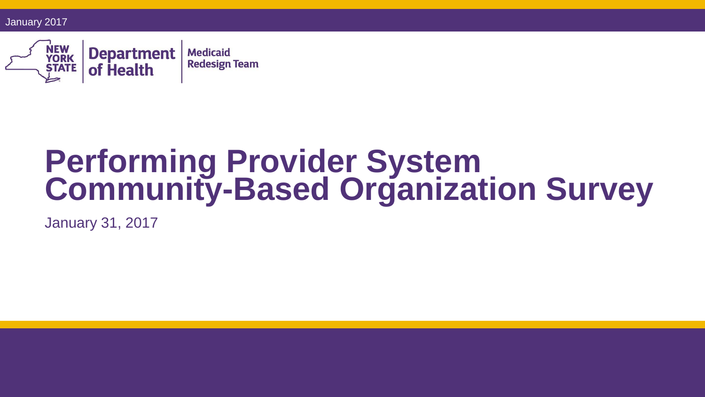January 2017



# **Performing Provider System Community-Based Organization Survey**

January 31, 2017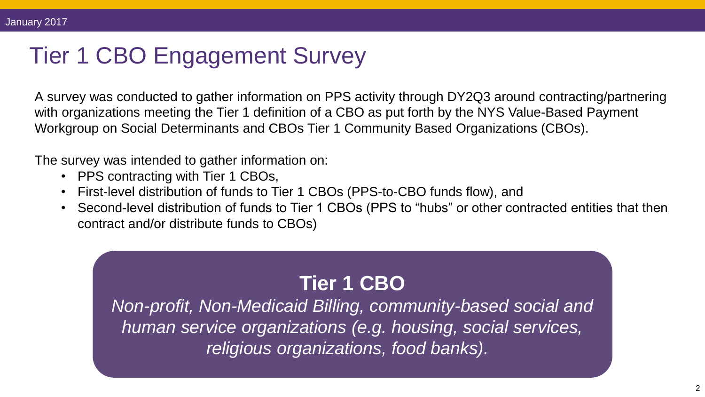### Tier 1 CBO Engagement Survey

A survey was conducted to gather information on PPS activity through DY2Q3 around contracting/partnering with organizations meeting the Tier 1 definition of a CBO as put forth by the NYS Value-Based Payment Workgroup on Social Determinants and CBOs Tier 1 Community Based Organizations (CBOs).

The survey was intended to gather information on:

- PPS contracting with Tier 1 CBOs,
- First-level distribution of funds to Tier 1 CBOs (PPS-to-CBO funds flow), and
- Second-level distribution of funds to Tier 1 CBOs (PPS to "hubs" or other contracted entities that then contract and/or distribute funds to CBOs)

#### **Tier 1 CBO**

*Non-profit, Non-Medicaid Billing, community-based social and human service organizations (e.g. housing, social services, religious organizations, food banks).*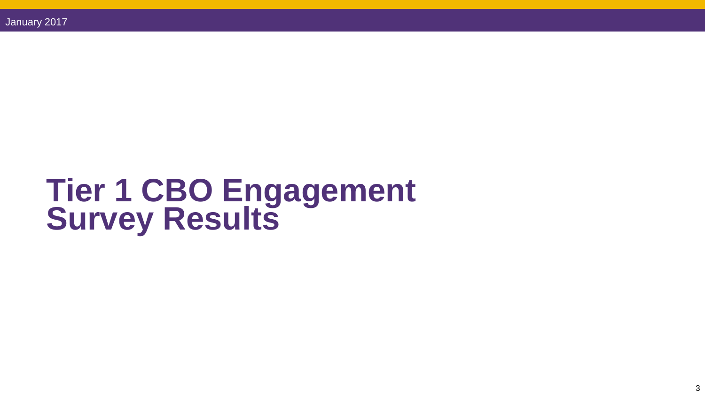# **Tier 1 CBO Engagement Survey Results**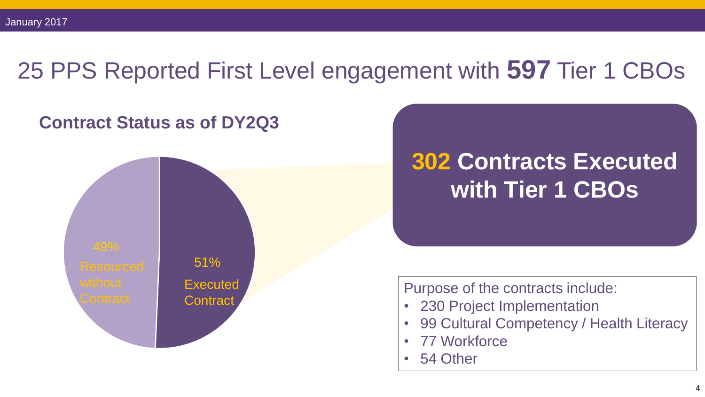#### 25 PPS Reported First Level engagement with **597** Tier 1 CBOs



### **302 Contracts Executed with Tier 1 CBOs**

Purpose of the contracts include:

- 230 Project Implementation
- 99 Cultural Competency / Health Literacy
- 77 Workforce
- 54 Other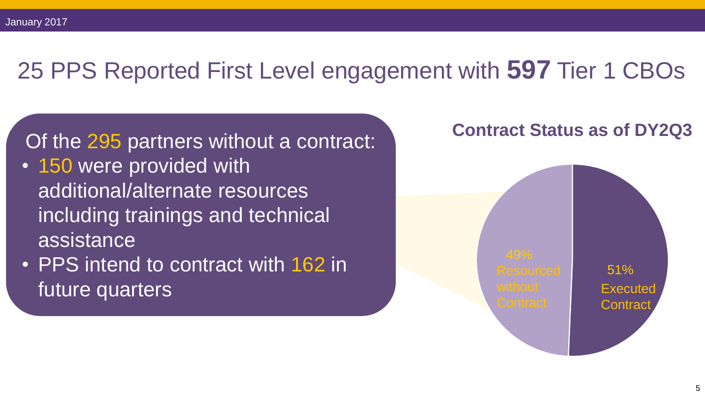#### 25 PPS Reported First Level engagement with **597** Tier 1 CBOs

Of the 295 partners without a contract:

- 150 were provided with additional/alternate resources including trainings and technical assistance
- PPS intend to contract with 162 in future quarters

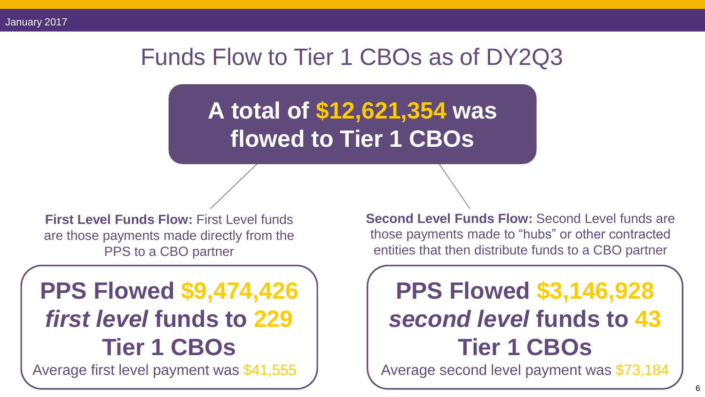#### Funds Flow to Tier 1 CBOs as of DY2Q3

**A total of \$12,621,354 was flowed to Tier 1 CBOs** 

**First Level Funds Flow: First Level funds** are those payments made directly from the PPS to a CBO partner

### **PPS Flowed \$9,474,426**  *first level* **funds to 229 Tier 1 CBOs**

Average first level payment was \$41,555

**Second Level Funds Flow:** Second Level funds are those payments made to "hubs" or other contracted entities that then distribute funds to a CBO partner

## **PPS Flowed \$3,146,928**  *second level* **funds to 43 Tier 1 CBOs**

Average second level payment was \$73,184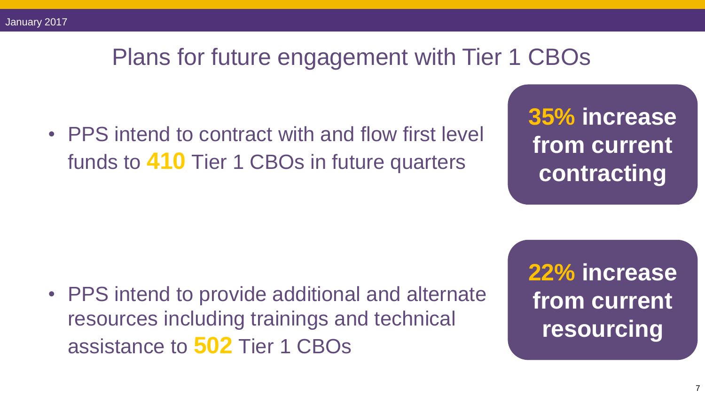#### Plans for future engagement with Tier 1 CBOs

• PPS intend to contract with and flow first level funds to **410** Tier 1 CBOs in future quarters

**35% increase from current contracting**

• PPS intend to provide additional and alternate resources including trainings and technical assistance to **502** Tier 1 CBOs

**22% increase from current resourcing**